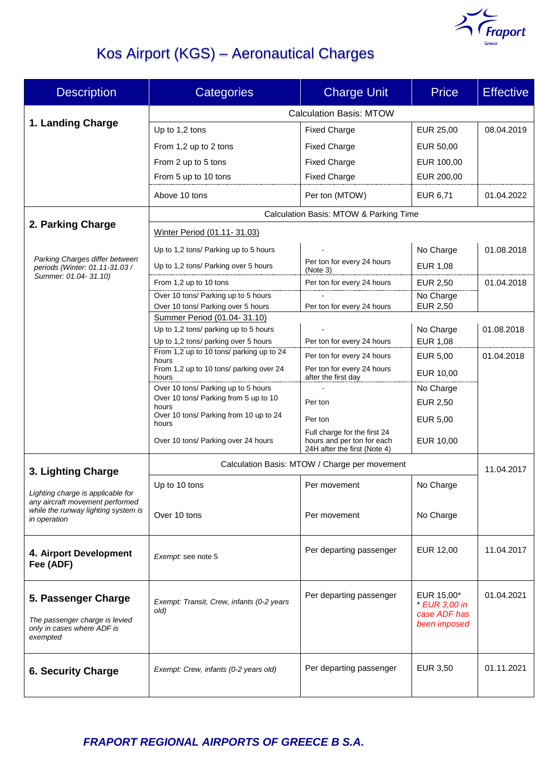

# Kos Airport (KGS) – Aeronautical Charges

| <b>Description</b>                                                                              | <b>Categories</b>                                                    | <b>Charge Unit</b>                                         | <b>Price</b>                                                | <b>Effective</b> |  |
|-------------------------------------------------------------------------------------------------|----------------------------------------------------------------------|------------------------------------------------------------|-------------------------------------------------------------|------------------|--|
|                                                                                                 | <b>Calculation Basis: MTOW</b>                                       |                                                            |                                                             |                  |  |
| 1. Landing Charge                                                                               | Up to 1,2 tons                                                       | <b>Fixed Charge</b>                                        | EUR 25,00                                                   | 08.04.2019       |  |
|                                                                                                 | From 1,2 up to 2 tons                                                | <b>Fixed Charge</b>                                        | EUR 50,00                                                   |                  |  |
|                                                                                                 | From 2 up to 5 tons                                                  | <b>Fixed Charge</b>                                        | EUR 100,00                                                  |                  |  |
|                                                                                                 | From 5 up to 10 tons                                                 | <b>Fixed Charge</b>                                        | EUR 200,00                                                  |                  |  |
|                                                                                                 | Above 10 tons                                                        | Per ton (MTOW)                                             | EUR 6,71                                                    | 01.04.2022       |  |
|                                                                                                 | Calculation Basis: MTOW & Parking Time                               |                                                            |                                                             |                  |  |
| 2. Parking Charge                                                                               | Winter Period (01.11-31.03)                                          |                                                            |                                                             |                  |  |
| Parking Charges differ between<br>periods (Winter: 01.11-31.03 /                                | Up to 1,2 tons/ Parking up to 5 hours                                |                                                            | No Charge                                                   | 01.08.2018       |  |
|                                                                                                 | Up to 1,2 tons/ Parking over 5 hours                                 | Per ton for every 24 hours<br>(Note 3)                     | <b>EUR 1,08</b>                                             |                  |  |
| Summer: 01.04-31.10)                                                                            | From 1,2 up to 10 tons                                               | Per ton for every 24 hours                                 | EUR 2,50                                                    | 01.04.2018       |  |
|                                                                                                 | Over 10 tons/ Parking up to 5 hours                                  |                                                            | No Charge                                                   |                  |  |
|                                                                                                 | Over 10 tons/ Parking over 5 hours                                   | Per ton for every 24 hours                                 | EUR 2,50                                                    |                  |  |
|                                                                                                 | Summer Period (01.04-31.10)<br>Up to 1,2 tons/ parking up to 5 hours |                                                            | No Charge                                                   | 01.08.2018       |  |
|                                                                                                 | Up to 1,2 tons/ parking over 5 hours                                 | Per ton for every 24 hours                                 | EUR 1,08                                                    |                  |  |
|                                                                                                 | From 1,2 up to 10 tons/ parking up to 24                             | Per ton for every 24 hours                                 | <b>EUR 5,00</b>                                             | 01.04.2018       |  |
|                                                                                                 | hours<br>From 1,2 up to 10 tons/ parking over 24<br>hours            | Per ton for every 24 hours<br>after the first day          | EUR 10,00                                                   |                  |  |
|                                                                                                 | Over 10 tons/ Parking up to 5 hours                                  |                                                            | No Charge                                                   |                  |  |
|                                                                                                 | Over 10 tons/ Parking from 5 up to 10<br>hours                       | Per ton                                                    | EUR 2,50                                                    |                  |  |
|                                                                                                 | Over 10 tons/ Parking from 10 up to 24                               | Per ton                                                    | EUR 5,00                                                    |                  |  |
|                                                                                                 | hours                                                                | Full charge for the first 24                               |                                                             |                  |  |
|                                                                                                 | Over 10 tons/ Parking over 24 hours                                  | hours and per ton for each<br>24H after the first (Note 4) | EUR 10,00                                                   |                  |  |
| 3. Lighting Charge                                                                              | Calculation Basis: MTOW / Charge per movement                        |                                                            |                                                             | 11.04.2017       |  |
| Lighting charge is applicable for                                                               | Up to 10 tons                                                        | Per movement                                               | No Charge                                                   |                  |  |
| any aircraft movement performed<br>while the runway lighting system is<br>in operation          | Over 10 tons                                                         | Per movement                                               | No Charge                                                   |                  |  |
| 4. Airport Development<br>Fee (ADF)                                                             | Exempt: see note 5                                                   | Per departing passenger                                    | EUR 12,00                                                   | 11.04.2017       |  |
| 5. Passenger Charge<br>The passenger charge is levied<br>only in cases where ADF is<br>exempted | Exempt: Transit, Crew, infants (0-2 years<br>old)                    | Per departing passenger                                    | EUR 15,00*<br>* EUR 3,00 in<br>case ADF has<br>been imposed | 01.04.2021       |  |
| <b>6. Security Charge</b>                                                                       | Exempt: Crew, infants (0-2 years old)                                | Per departing passenger                                    | EUR 3,50                                                    | 01.11.2021       |  |

*FRAPORT REGIONAL AIRPORTS OF GREECE B S.A.*